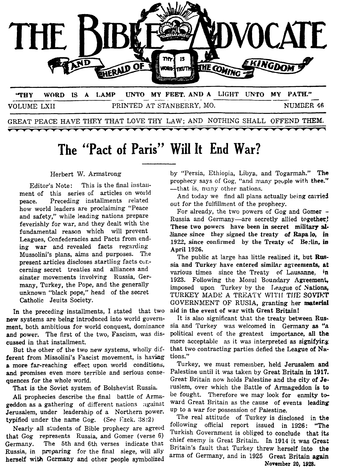

**THY WORD IS A LAMP UNTO MY FEET. AND A LIGHT UNTO MY PATH."** VOLUME LXII PRINTED AT STANBERRY, MO. NUMBER 46

GREAT PEACE HAVE THEY THAT LOVE THY LAW; AND NOTHING SHALL OFFEND THEM.

## **The "Pact of Paris" Will It End War?**

## Herbert W. Armstrong

This is the final installment of this series of articles on world peace. Preceding installments related how world leaders are proclaiming "Peace and safety," while leading nations prepare feverishly for war, and they dealt with the fundamental reason which will prevent Leagues, Confederacies and Pacts from ending war and revealed facts regarding Mussolini's plans, aims and purposes. The present articles discloses startling facts concerning secret treaties and alliances and sinster movements involving Russia, Germany, Turkey, the Pope, and the generally unknown "black pope," head of the secret Catholic Jeuits Society. Editor's Note:

In the preceding installments, I stated that two **new** systems are being introduced into world government, both ambitious for world conquest, dominance and power. The first of the two, Fascism, was discussed in that installment.

But the other of the two new systems, wholly different from Missolini's Fascist movement, is having **a** more far-reaching effect upon world conditions, **and** promises even more terrible and serious consequences for the whole world.

That is the Soviet system of Bolshevist Russia.

**All** prophecies describe the final battle of Armageddon as a gathering of different nations ;gainst Jerusalem, under leadership of a Northern power. typified under the name Gog. (See Ezek. 38:2)

Nearly all students of Bible prophecy are agreed that Gog represents Russia, and Gomer (verse 6) Germany. The 5th and 6th verses indicate that **Russia,** in preparing for the final siege, will ally herself with Germany and other people symbolized

by "Persia, Ethiopia, Libya, and Togarmah." **The**  prophecy says of Gog, "and many people with thee." -that is, many other nations.

And today we find all plans actually being **carried**  out for the fulfillment of the prophecy.

For already, the two powers of Gog and Gomer  $-$ Russia and Germany-are secretly allied **together.!**  These two powers have been in secret **military aL**diance since they **signed** the treaty **of** Rapalo, **in 1922,** since confirmed by the Treaty **of Berlin, in April 1926.** 

The public at large has little realized it, but **RUSsia** and Turkey have entered similar agreements, **at**  various times since the Treaty of Lausanne, in 1923. Following the Mosul Boundary Agreement, imposed upon Turkey by the League of Nations, TURKEY MADE A TREATY WITH THE SOVIET GOVERNMENT OF RUSIA, granting her **material aid** in the event **of** war with **Great** Britain!

It is also significant that the treaty between Russia and Turkey was welcomed in Germany as "a political event of the greatest importance, all the more acceptable as it was interpreted as signifying that two contracting parties defied the League of Nations."

Turkey, we must remember, held Jerusalem and Palestine until it **was** taken by Great Britain in **1917.**  Great Britain now holds Palestine and the city of Jeruslem, over which the Battle of Armageddon is to be fought. Therefore we may look for enmity toward Great Britain as the cause of events leading up to a war for possession *of* Palestine.

The real attitude of Turkey is disclosed in the following official report issued in **1926:** "The Turkish Government is obliged to conclude that its chief enemy is Great Britain. In 1914 it was Gresi Britain's fault that Turkey threw herself into the arms of Germany, and in 1925 Great Britain **again November 20, 1928.**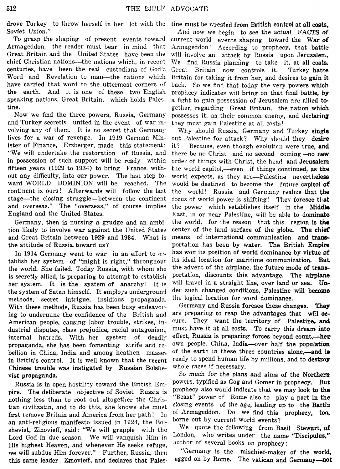drove Turkey to throw herself in her lot with the tine must **be** wrested **from British** control at all costs, Soviet Union."

To grasp the shaping of present events toward Armageddon, the reader must bear in mind that Great Britain and the United States have been the chief Christian nations-the nations which, in recent centuries, have been the real custodians of God'; Word and Revelation to man-the nations which have carried that word to the uttermost corners of the earth. And it is one of these two English speaking nations, Great Britain, which holds Palestine.

Now we find the three powers, Russia, Germany and Turkey secretly united in the event of war involving any of them. It is no secret that Germany lives for a war of revenge. In **1919** German Minister of Finance, Erzberger, made this statement: "We will undertake the restoration of Russia, and in possession of such support will be ready within fifteen years **(1929** to **1934)** to bring France, without any difficulty, into our power. The last step toward WORLD DOMINION will be reached. The continent is ours! Afterwards will follow the last stage—the closing struggle  $-$  between the continent and overseas." The "overseas," of course implies England and the United States.

Germany, then is nursing a grudge and **an** ambition likely to involve war against the United States and Great Britain between **1929** and **1934.** What is the attitude of Russia toward us?

In 1914 Germany went to war in an effort to  $e$ : tablish her system of "might is right," throughout the world. She failed. Today Russia, with whom **shc**  is secretly allied, is preparing to attempt to establish her system. It is the system of anarchy! It *is*  the system of Satan himself. It employs underground methods, secret intrigue, insidious propaganda. With these methods, Russia has been busy endeavoring to undermine the confidence of the Biitish and American people, causing labor trouble, strikes, industrial disputes, class prejudice, racial antagonism, internal hatreds. With her system of deadly propaganda, she has been fomenting strife and rebellion in China, India and among heathen masses in Britin's control. It is well known that the recent Chinese trouble **was** instigated by Russian **Bolshe**vist propaganda.

Russia is in open hostility toward the British Empire. The deliberate objective of Soviet Russia is nothing less than to root out altogether the Christian civilizatin, and to do this, she knows she must first remove Britain and America from her path! In an anti-religious manifesto issued in **1924,** the Bolshevist, Zinovieff, said: "We will grapple with the Lord God in due season. We will vanquish Him in His highest Heaven, and whenever He seeks refuge, we will subdue Him forever." Further, Russia, thrit this same leader Zmovieff, and declares that Pales- egged on by Rome. The vatican and Germany-not

And now we begin to see the actual FACTS of current world events shaping toward the War **of**  Armageddon ! According to prophecy, that battle will involve an attack by Russia upon Jerusalen. We find Russia planning to take it, at all *costs.*  Great Britain now controls it. Turkey hates Britain for taking it from her, and desires to gain **it**  back. So we find that today the very powers which prophecy indicates will bring on that final battle, **by**  a fight to gain possession of Jerusalem **zre allied to**gether, regarding Great Britain, the nation which possesses it, as their common euemy, **and** declaring they must gain Palestine at all costs!

Why should Russia, Germany and Turkey single out Palestine for attack? Why should they desire it? Because, even though evolution were true, and there be no Christ and no second coming -no new order of things with Christ, the head and Jerusalem the world capitol,—even if things continued, as the world expects, as they are—Palestine nevertheless would be destined to become the future capitol *of*  the world! Russia and Germany realize that **the**  focus of world power is shifting! They foresee that the power which establishes itself in the **Middle**  East, in or near Palestine, will be able to dominate the world, for the reason that this region is **the**  center of the land surface of the globe. **The** chief means of international communication and transportation **has** been by water. The British **Empire**  has won its position of world dominance by **virtue o€**  its ideal location for maritime communication. **But**  the advent of the airplane, the future mode **of trans**portation, discounts this advantage. The airplane will travel in a straight line, over land or sea. **Un**der such changed conditions, Palestine will **become**  the logical location for word dominance.

Germany and Russia foresee these changes. They are preparing to reap the advantages that will occure. They want the territory of Palestine, **and**  must have it at all costs. To carry this dream into effect, Russia is preparing forces beyond count,—her own people, Chira, India-over half the **popuIation**  of the earth in these three countries alone,-and is ready to spend human life by millions, and to destroy whole races if necessary.

So much for the plans and aims of the **Northern**  powers, typified as Gog and Gomer in prophecj. **But**  prophecy also would indicate that we may **look** to the "Beast" power of Rome also to play a part in the closing events of the age, leading up to the **Battlo**  of Armageddon. Do we find this prophecy, **ton,**  borne out by current world events?

We quote the following from Basil Stewart, *of*  London, who writes under the name "Discipulus," author of several books on prophecy:

mischief-maker of the world, "Germany is the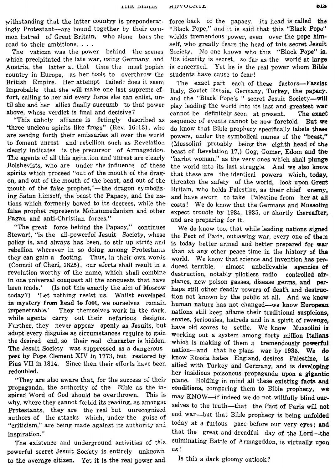**ADVUUAID** 

which precipitated the late war, using Germany, and His identity is secret, so far as the world at large Austria, the latter at that time the most popish is concerned. Yet he is the real power whom **Bible**  country in Europe, as her tools to overthrow the students have cause to fear! British Empire. Her attempt failed: does it seem The exact part each of these factors-Fascist improbable that she will make one last supreme ef- Italy, Soviet Russia. Germany, Turkey, the papacy. fort, calling to her aid every force she can enlist, un-<br>til she and her allies finally succumb to that power play leading the world into its last and greatest war

'three unclean spirits like frogs" (Rev. 16:13), who do know that Bible prophecy specifically labels these are sendng forth their emissaries all over the world powers, under the symbolical names of the "beast" to foment unrest and rebellion such as Revelation (Wussolini probably being the eighth head of **thz**  clearly indicates is the precursor of Armageddon. beast of Revelation 17,) Gog, Gomer, Edom and **the**  The agents of all this agitation and unrest are clearly "harlot woman," as the very ones which shall plunge Bolshevists, who are under the influence of these the world into its last strugg:e. And we also **knom**  spirits which proceed "out of the mouth of the drag- that these are the identical powers which, today, on, and out of the mouth of the beast, and out of the threaten the safety of the world, look upon **Great**  ing Satan himse!f, the beast the Papacy, and the na- and have sworn to take Palestine from her at **all**  tions which formerly bowed to its decrees, while the costs! We do know that the Germans and Mussolini false prophet represents Mohammedanism and other expect trouble by 1934, 1935, or shortly thereafter. Pagan and anti-Christian forces." and are preparing for it.

"The great force behind the Papacy," continues We do know too, that while leading nations signed Stewart, "is the all-powerful Jesuit Society, whose the Pact of Paris, outlawing war, every one of the.n<br>policy is, and always has been, to stir up strife and is today better armed and better proposed for war policy is, and always has been, to stir up strife and is today better armed and better prepared for war<br>rebellion wherever in so doing among Protestants than at any other peace time in the history of the rebellion wherever in so doing among Protestants than at any other peace time in the history of the they can gain a footing. Thus, in their own words world. We know that science and invention has now. (Council of Cheri, 1825), our eforts shall result in a duced terrible,— almost unbelievable agencies of revolution worthy of the name, which shall combine destruction notably pilotless radio controlled simrevolution worthy of the name, which shall combine destruction, notably pilotless radio controlled air-<br>In one universal conquest all the conquests that have planes new poison gasses disease germs, and perin one universal conquest all the conquests that have planes, new poison gasses, disease germs, and per-<br>been made.' (Is not this exactly the aim of Moscow haps still other deadly powers of death and destruc-<br>today?) 'Let in mystery from head to foot, we ourselves remain human nature has not changed-we know European impenetrable.' They themselves work in the dark, nations still keep aflame their traditional suspicions, while agents carry out their nefarious designs. envies, jealousies, hatreds and in a spirit of revenge. Further, they never appear openly as Jesuits, but have old scores to settle. We know Mussolini is adopt every disguise as circumstances require to gain working out a system among forty million Italians the desired end, so their real character is hidden. which is making of them a tremendously powerful **The** Jesuit Society was suppressed as a dangerous nation-and that he plans war by **1935.** We **do**  pest by Pope Clement XIV in 1773, but restored by know Russia hates England, desires Palestine, is Pius VII in 1814. Since then their efforts have been allied with Turkey and Germany, and is developing redoubled.

propaganda, the authority of the Bible as the in- conditions, comparing them to Bible prophecy, **we**  why, where they cannot forbid its reading, as amongst<br>Protestants, they are the real but unrecognized<br>authors of the attacks which, under the guise of end war—but that Bible prophecy is being unfolded "criticism," are being made against its authority and today at a furious pace before our very eyes; and

The existence and underground activities of this powerful secret Jesuit Society is entirely unknown to the **average** citizen. Yet it **is** the real **power and** 

withstanding that the latter country is preponderat- force back of the papacy. Its head is called the ingly Protestant-are bound together by their com- "Black Pope," and it is said that this "Black Pope" mon hatred of Great Britain, who alone bars the wields tremendous power, even over the pope himroad to their ambitions. . . . self, who greatly fears the head of this secret Jesuit The vatican was the power behind the scenes Society. No one knows who this "Black Pope" is.

play leading the world into its last and greatest war above, whose verdict is final and decisive? cannot be definitely seen at present. The exact "This unholy alliance is fittingly described as sequence of events cannot be now foretold. But **we**  powers, under the symbolical names of the "beast." Britain, who holds Palestine, as their chief enemy,

world. We know that science and invention has protion not known by the public at all. And we know doubled.<br>"They are also aware that, for the success of their plane. Holding in mind all these existing facts and plane. Holding in mind all these existing facts and inspiration." that the great and dreadful day of the Lord—the culminating Battle of Armageddon, is virtually upon may KNOW-if indeed we do not willfully blind ourus!

**1s** this **a** dark gloomy outlook?